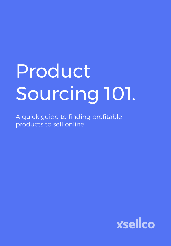# Product Sourcing 101.

A quick guide to finding profitable products to sell online

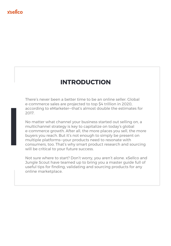### **Ysellco**

# **INTRODUCTION**

There's never been a better time to be an online seller. Global e-commerce sales are projected to top \$4 trillion in 2020, according to eMarketer—that's almost double the estimates for 2017.

e<br>
a<br>
2<br>
N<br>
r<br>
F<br>
c<br>
v<br>
v No matter what channel your business started out selling on, a multichannel strategy is key to capitalize on today's global e-commerce growth. After all, the more places you sell, the more buyers you reach. But it's not enough to simply be present on multiple platforms—your products need to resonate with consumers, too. That's why smart product research and sourcing will be critical to your future success.

Not sure where to start? Don't worry, you aren't alone. xSellco and Jungle Scout have teamed up to bring you a master guide full of useful tips for finding, validating and sourcing products for any online marketplace.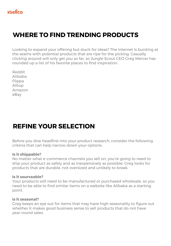# **WHERE TO FIND TRENDING PRODUCTS**

Looking to expand your offering but stuck for ideas? The internet is bursting at the seams with potential products that are ripe for the picking. Casually clicking around will only get you so far, so Jungle Scout CEO Greg Mercer has rounded up a list of his favorite places to find inspiration.

Reddit Alibaba **Flippa** Alltop Amazon eBay

# **REFINE YOUR SELECTION**

Before you dive headfirst into your product research, consider the following criteria that can help narrow down your options.

### **Is it shippable?**

No matter what e-commerce channels you sell on, you're going to need to ship your product as safely and as inexpensively as possible. Greg looks for products that are durable, not oversized and unlikely to break.

### **Is it sourceable?**

Your products will need to be manufactured or purchased wholesale, so you need to be able to find similar items on a website like Alibaba as a starting point.

### **Is it seasonal?**

Greg keeps an eye out for items that may have high seasonality to figure out whether it makes good business sense to sell products that do not have year-round sales.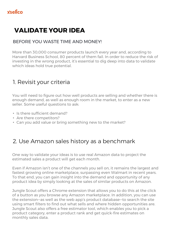# **VALIDATE YOUR IDEA**

### BEFORE YOU WASTE TIME AND MONEY!

More than 30,000 consumer products launch every year and, according to Harvard Business School, 80 percent of them fail. In order to reduce the risk of investing in the wrong product, it's essential to dig deep into data to validate which ideas hold true potential.

### 1. Revisit your criteria

You will need to figure out how well products are selling and whether there is enough demand, as well as enough room in the market, to enter as a new seller. Some useful questions to ask:

- Is there sufficient demand?
- Are there competitors?
- Can you add value or bring something new to the market?

### 2. Use Amazon sales history as a benchmark

One way to validate your ideas is to use real Amazon data to project the estimated sales a product will get each month.

Even if Amazon isn't one of the channels you sell on, it remains the largest and fastest growing online marketplace, surpassing even Walmart in recent years. To that end, you can gain insight into the demand and opportunity of any product idea by simply looking at the sales of similar products on Amazon.

Jungle Scout offers a Chrome extension that allows you to do this at the click of a button as you browse any Amazon marketplace. In addition, you can use the extension—as well as the web app's product database—to search the site using smart filters to find out what sells and where hidden opportunities are. Jungle Scout also offers a free estimator tool, which enables you to pick a product category, enter a product rank and get quick-fire estimates on monthly sales data.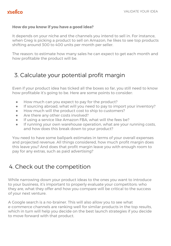### **How do you know if you have a good idea?**

It depends on your niche and the channels you intend to sell in. For instance, when Greg is picking a product to sell on Amazon, he likes to see top products shifting around 300 to 400 units per month per seller.

The reason: to estimate how many sales he can expect to get each month and how profitable the product will be.

### 3. Calculate your potential profit margin

Even if your product idea has ticked all the boxes so far, you still need to know how profitable it's going to be. Here are some points to consider:

- How much can you expect to pay for the product?
- If sourcing abroad, what will you need to pay to import your inventory?
- How much will the product cost to ship to customers?
- Are there any other costs involved?
- **•** If using a service like Amazon FBA, what will the fees be?
- If running your own warehouse operation, what are your running costs, and how does this break down to your product?

You need to have some ballpark estimates in terms of your overall expenses and projected revenue. All things considered, how much profit margin does this leave you? And does that profit margin leave you with enough room to pay for any extras, such as paid advertising?

### 4. Check out the competition

While narrowing down your product ideas to the ones you want to introduce to your business, it's important to properly evaluate your competitors: who they are, what they offer and how you compare will be critical to the success of your next venture.

A Google search is a no-brainer. This will also allow you to see what e-commerce channels are ranking well for similar products in the top results, which in turn will help you decide on the best launch strategies if you decide to move forward with that product.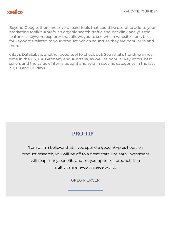Beyond Google, there are several paid tools that could be useful to add to your marketing toolkit. Ahrefs, an organic search traffic and backlink analysis tool, features a keyword explorer that allows you to see which websites rank best for keywords related to your product, which countries they are popular in and more.

eBay's DataLabs is another good tool to check out. See what's trending in real time in the US, UK, Germany and Australia, as well as popular keywords, best sellers and the value of items bought and sold in specific categories in the last 30, 60 and 90 days

### **PRO TIP**

"I am a firm believer that if you spend a good 40-plus hours on product research, you will be off to a great start. The early investment will reap many benefits and set you up to sell products in a multichannel e-commerce world."

GREG MERCER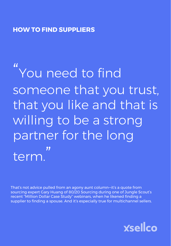### **HOW TO FIND SUPPLIERS**

# " You need to find someone that you trust, that you like and that is willing to be a strong partner for the long term. "

That's not advice pulled from an agony aunt column—it's a quote from sourcing expert Gary Huang of 80/20 Sourcing during one of Jungle Scout's recent "Million Dollar Case Study" webinars, when he likened finding a supplier to finding a spouse. And it's especially true for multichannel sellers.

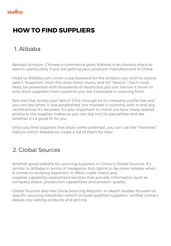# **HOW TO FIND SUPPLIERS**

## 1. Alibaba

Besides Amazon, Chinese e-commerce giant Alibaba is an obvious place to search—particularly if you are getting your products manufactured in China.

Head to Alibaba.com, enter a top keyword for the product you wish to source, select "Suppliers" from the drop-down menu and hit "Search." You'll most likely be presented with thousands of results but you can narrow it down to only show suppliers from countries you are interested in sourcing from.

See one that tickles your fancy? Click through to its company profile tab and you can see when it was established, the markets it currently sells in and any certifications it's received. It's also important to check out how many related products the supplier makes so you can dig into its specialities and see whether it's a good fit for you.

Once you find suppliers that show some potential, you can use the "Favorites" feature within Alibaba to create a list of them for later.

## 2. Global Sources

Another good website for sourcing suppliers in China is Global Sources. It's similar to Alibaba in terms of navigation but claims to be more reliable when it comes to verifying exporters. It offers credit-check and supplier-capability-assessment services that provide information such as company status, production capabilities and product quality.

Global Sources also has China Sourcing Reports—in-depth studies focused on specific sourcing industries—which include qualified suppliers, verified contact details, top-selling products and pricing.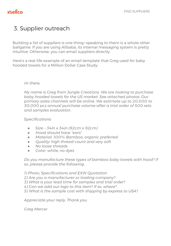## 3. Supplier outreach

Building a list of suppliers is one thing—speaking to them is a whole other ballgame. If you are using Alibaba, its internal messaging system is pretty intuitive. Otherwise, you can email suppliers directly.

Here's a real-life example of an email template that Greg used for baby hooded towels for a Million Dollar Case Study:

### *Hi there,*

*My name is Greg from Jungle Creations. We are looking to purchase baby hooded towels for the US market. See attached photos. Our primary sales channels will be online. We estimate up to 20,000 to 30,000 pcs annual purchase volume after a trial order of 500 sets and samples evaluation.*

*Specifications:*

- *● Size 34in x 34in (92cm x 92cm)*
- *● Hood should have "ears"*
- *● Material: 100% Bamboo, organic preferred*
- *● Quality: high thread count and very soft*
- *● No loose threads*
- *● Color: white, no dyes*

*Do you manufacture these types of bamboo baby towels with hood? If so, please provide the following:*

*1) Photo, Specifications and EXW Quotation*

*2) Are you a manufacturer or trading company?*

*3) What is your lead time for samples and trial order?*

*4) Can we add our logo to this item? If so, where?*

*5) What is the sample cost with shipping by express to USA?*

*Appreciate your reply. Thank you.*

*Greg Mercer*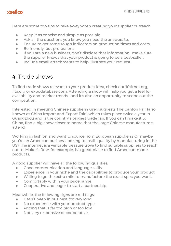### **xsellco**

Here are some top tips to take away when creating your supplier outreach:

- Keep it as concise and simple as possible.
- Ask all the questions you know you need the answers to.
- Ensure to get some rough indicators on production times and costs.
- Be friendly, but professional.
- If you are a new business, don't disclose that information—make sure the supplier knows that your product is going to be a best-seller.
- Include email attachments to help illustrate your request.

### 4. Trade shows

To find trade shows relevant to your product idea, check out 10times.org, fita.org or expodatabase.com. Attending a show will help you get a feel for availability and market trends—and it's also an opportunity to scope out the competition.

Interested in meeting Chinese suppliers? Greg suggests The Canton Fair (also known as China Import and Export Fair), which takes place twice a year in Guangzhou and is the country's biggest trade fair. If you can't make it to China, find a big show closer to home that the large Chinese manufacturers attend.

Working in fashion and want to source from European suppliers? Or maybe you're an American business looking to instill quality by manufacturing in the US? The internet is a veritable treasure trove to find suitable suppliers to reach out to. Maker's Row, for example, is a great place to find American-made products.

A good supplier will have all the following qualities:

- Good communication and language skills.
- Experience in your niche and the capabilities to produce your product.
- Willing to go the extra mile to manufacture the exact spec you want.
- **•** Comfortably within your price range.
- Cooperative and eager to start a partnership.

Meanwhile, the following signs are red flags:

- Hasn't been in business for very long.
- No experience with your product type.
- Pricing that is far too high or too low.
- Not very responsive or cooperative.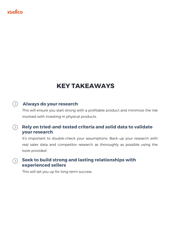### **xsellco**

# **KEY TAKEAWAYS**

### **Always do your research**

This will ensure you start strong with a profitable product and minimize the risk involved with investing in physical products.

#### **Rely on tried-and-tested criteria and solid data to validate**   $(\rangle)$ **your research**

It's important to double-check your assumptions. Back up your research with real sales data and competitor research as thoroughly as possible using the tools provided.

### $\circledcirc$  Seek to build strong and lasting relationships with **experienced sellers**

This will set you up for long-term success.